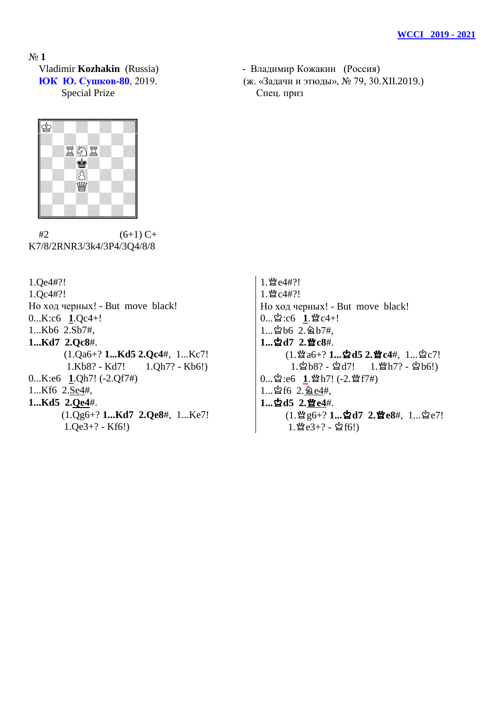№ **1** Special Prize Cneu. приз

 Vladimir **Kozhakin** (Russia) - Владимир Кожакин (Россия) **ЮК Ю. Сушков-80**, 2019. (ж. «Задачи и этюды», № 79, 30.XII.2019.)



 $#2$  (6+1) C+ K7/8/2RNR3/3k4/3P4/3Q4/8/8

1.Qe4#?! 1.Qc4#?! Но ход черных! - But move black! 0...K:c6 **1**.Qc4+! 1...Kb6 2.Sb7#, **1...Kd7 2.Qc8**#. (1.Qa6+? **1...Kd5 2.Qc4**#, 1...Kc7! 1.Kb8? - Kd7! 1.Qh7? - Kb6!) 0...K:e6 **1**.Qh7! (-2.Qf7#) 1...Kf6 2.Se4#, **1...Kd5 2.Qe4**#. (1.Qg6+? **1...Kd7 2.Qe8**#, 1...Ke7! 1.Qe3+? - Kf6!)

1. 暨e4#?! 1. 暨c4#?! Но ход черных! - But move black!  $0...\n$ 空:c6  $1.\n$  P  $c4+!$  $1...$  $b6$   $2.\overline{2}$  $b7\overline{t}$ , 1...☆d7 2.營c8#.  $(1.$ 曾a6+? **1...立d5 2.曾c4**#, 1...立c7!  $1.\&b8? - \&d7!$   $1.\&b7? - \&b6!)$ 0... ~ 2:e6 1. \* h7! (-2. \* f7#)  $1...$  $162.62e4#$ , **1...立d5 2.暨e4#.**  $(1.$  曾g6+? **1... 空d7 2. 暨e8**#, 1... 空e7!  $1.\mathfrak{B}e3+?$  -  $\mathfrak{L}f6!)$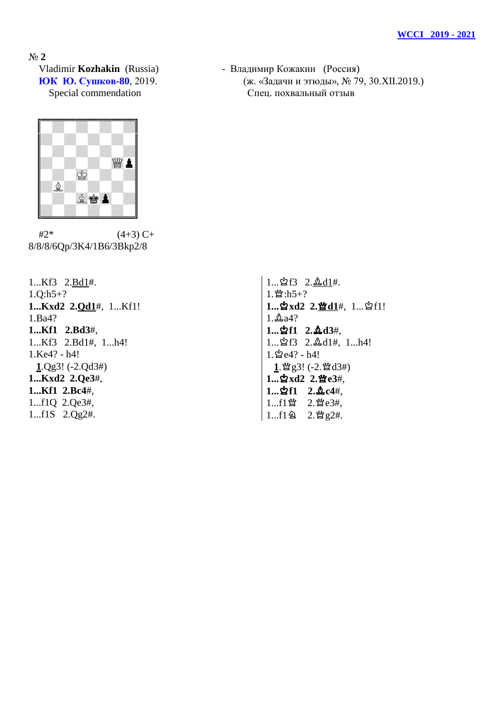№ **2**



 $#2^*$  (4+3) C+ 8/8/8/6Qp/3K4/1B6/3Bkp2/8

1...Kf3 2.Bd1#. 1.Q:h5+? **1...Kxd2 2.Qd1**#, 1...Kf1! 1.Ba4? **1...Kf1 2.Bd3**#, 1...Kf3 2.Bd1#, 1...h4! 1.Ke4? - h4! **1**.Qg3! (-2.Qd3#) **1...Kxd2 2.Qe3**#, **1...Kf1 2.Bc4**#, 1...f1Q 2.Qe3#, 1...f1S 2.Qg2#.

 Vladimir **Kozhakin** (Russia) - Владимир Кожакин (Россия) **ЮК Ю. Сушков-80**, 2019. (ж. «Задачи и этюды», № 79, 30.XII.2019.) Special commendation Спец. похвальный отзыв

> $1...$  $2f3$   $2.\&d1#$ .  $1.\mathbb{M}:h5+?$ 1... **hxd2** 2. 曾d1#, 1... hf1!  $1.\n$ **1...**u**f1 2.**o**d3**#,  $1...$  $1.2611$ #,  $1...h4!$  $1.\,$  $2e4? - h4!$  $1.$  曾g3! (-2. 曾d3#) 1... 含xd2 2.營e3#, **1...**u**f1 2.**o**c4**#,  $1...f1$  暨  $2.$  暨e3#,  $1...f1$   $2.$  曾g2#.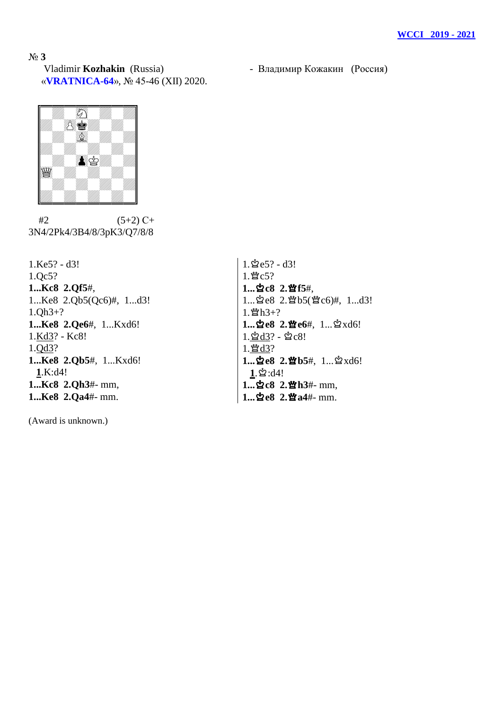№ **3** Vladimir **Kozhakin** (Russia) - Владимир Кожакин (Россия) «**VRATNICA-64**», № 45-46 (XII) 2020.



 $#2$  (5+2) C+ 3N4/2Pk4/3B4/8/3pK3/Q7/8/8

1.Ke5? - d3! 1.Qc5? **1...Kc8 2.Qf5**#, 1...Ke8 2.Qb5(Qc6)#, 1...d3! 1.Qh3+? **1...Ke8 2.Qe6**#, 1...Kxd6! 1.Kd3? - Kc8! 1.Qd3? **1...Ke8 2.Qb5**#, 1...Kxd6! **1**.K:d4! **1...Kc8 2.Qh3**#- mm, **1...Ke8 2.Qa4**#- mm.

(Award is unknown.)

 $1.\n$ ge5? - d3!  $1.$  $\text{Mc5?}$ 1...☆c8 2. 查f5#, 1... 空e8 2. 暨b5(暨c6)#, 1...d3!  $1.\mathbb{M}$ h3+? 1...空e8 2.營e6#, 1...  $\Delta$ xd6!  $1.\,2d3?$  -  $2c8!$ 1. 暨d3? 1... 空e8 2. 暨b5#, 1... axd6!  $1.\n$ 2: d4! 1... 空c8 2. 暨h3#- mm, 1...空e8 2.營a4#- mm.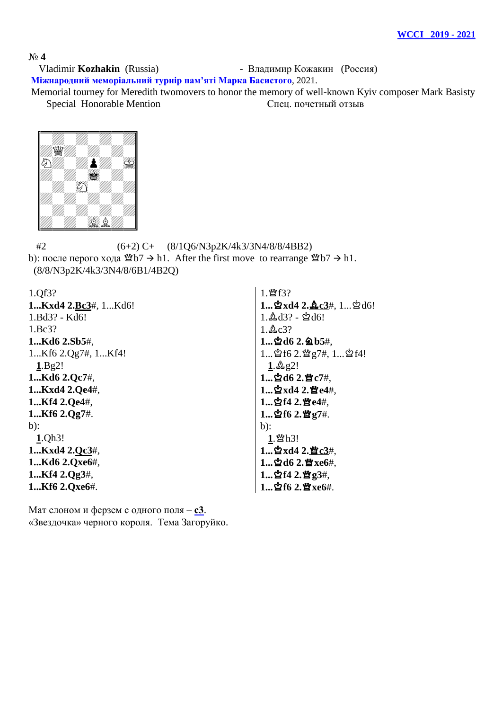## № **4**

 Vladimir **Kozhakin** (Russia) - Владимир Кожакин (Россия) **Міжнародний меморіальний турнір пам'яті Марка Басистого**, 2021.

Memorial tourney for Meredith twomovers to honor the memory of well-known Kyiv composer Mark Basisty Special Honorable Mention Спец. почетный отзыв



 #2 (6+2) C+ (8/1Q6/N3p2K/4k3/3N4/8/8/4BB2) b): после перого хода  $\mathfrak{B}b7 \rightarrow h1$ . After the first move to rearrange  $\mathfrak{B}b7 \rightarrow h1$ . (8/8/N3p2K/4k3/3N4/8/6B1/4B2Q)

| 1.Qf3?               | 1. 暨f3?                                        |
|----------------------|------------------------------------------------|
| 1Kxd4 2.Bc3#, 1Kd6!  | 1 $\Delta$ xd4 2. $\Delta$ c3#, 1 $\Delta$ d6! |
| 1.Bd3? - Kd6!        | $1.\&d3? - \&d6!$                              |
| 1.Bc3?               | $1.\&c3?$                                      |
| 1Kd6 2.Sb5#,         | 1 空d6 2. @ b5#,                                |
| 1Kf6 2.Qg7#, 1Kf4!   | 1 ☆f6 2. 營 g7#, 1 ☆f4!                         |
| 1.Bg2!               | $1.\&92!$                                      |
| 1Kd6 2.Qc7#,         | $1$ 空d6 2.暨c7#,                                |
| 1Kxd4 2.Qe4#,        | 1≌xd4 2.曾e4#,                                  |
| 1Kf4 2.Qe4#,         | $1$ ☆f4 2.曾e4#,                                |
| 1Kf6 2.Qg7#.         | $1$ ង្នំf6 2. ឃ្មួ $7#$ .                      |
| $b)$ :               | $b)$ :                                         |
| 1.Qh3!               | $1.$ 暨h3!                                      |
| 1 $Kxd4$ 2. $Qc3#$ , | 1 $\Delta$ xd4 2. $\Delta$ e3#,                |
| 1Kd6 2.Qxe6#,        | 1 空d6 2. 暨xe6#,                                |
| 1Kf4 2.Qg3#,         | 1☆f4 2.曾g3#,                                   |
| 1Kf6 2.Qxe6#.        | 1 空f6 2. 暨xe6#.                                |

Мат слоном и ферзем с одного поля – **с3**. «Звездочка» черного короля. Тема Загоруйко.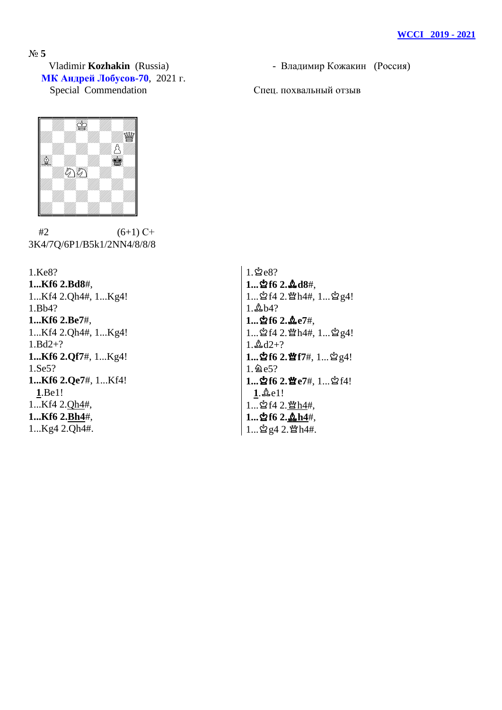№ **5** Vladimir **Kozhakin** (Russia) - Владимир Кожакин (Россия) **МК Андрей Лобусов-70**, 2021 г. Special Commendation Cneu, похвальный отзыв



 $#2$  (6+1) C+ 3K4/7Q/6P1/B5k1/2NN4/8/8/8

1.Ke8? **1...Kf6 2.Bd8**#, 1...Kf4 2.Qh4#, 1...Kg4! 1.Bb4? **1...Kf6 2.Be7**#, 1...Kf4 2.Qh4#, 1...Kg4! 1.Bd2+? **1...Kf6 2.Qf7**#, 1...Kg4! 1.Se5? **1...Kf6 2.Qe7**#, 1...Kf4! **1**.Be1! 1...Kf4 2.Qh4#, **1...Kf6 2.Bh4**#, 1...Kg4 2.Qh4#.

 $1.\n$  $2e8?$ **1...**u**f6 2.**o**d8**#,  $1...$  화 f4 2. 빨 h4#,  $1...$  효 g4!  $1.4b4?$ **1...**u**f6 2.**o**e7**#,  $1...$  화 f4 2. 빨 h4#,  $1...$  효 g4!  $1.\&d2+?$ 1... 空f6 2. 暨f7#, 1... 空g4!  $1.2e5?$ **1...空f6 2.暨e7#, 1...**空f4!  $1.\&0.1!$  $1...$ ☆f4 2. $Mh4#$ , **1...**u**f6 2.**o**h4**#,  $1...$ ນຶ່ g4 2. ພືໃh4#.